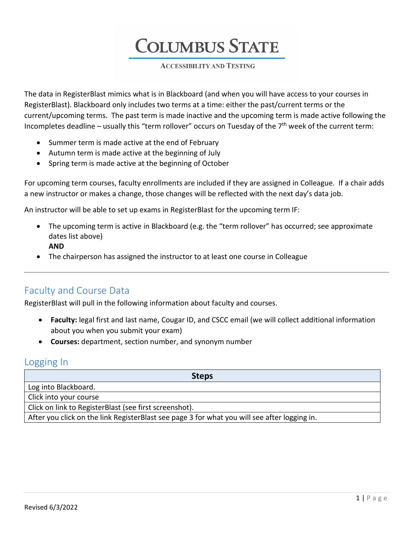**COLUMBUS STATE** 

**ACCESSIBILITY AND TESTING** 

The data in RegisterBlast mimics what is in Blackboard (and when you will have access to your courses in RegisterBlast). Blackboard only includes two terms at a time: either the past/current terms or the current/upcoming terms. The past term is made inactive and the upcoming term is made active following the Incompletes deadline – usually this "term rollover" occurs on Tuesday of the  $7<sup>th</sup>$  week of the current term:

- Summer term is made active at the end of February
- Autumn term is made active at the beginning of July
- Spring term is made active at the beginning of October

For upcoming term courses, faculty enrollments are included if they are assigned in Colleague. If a chair adds a new instructor or makes a change, those changes will be reflected with the next day's data job.

An instructor will be able to set up exams in RegisterBlast for the upcoming term IF:

- The upcoming term is active in Blackboard (e.g. the "term rollover" has occurred; see approximate dates list above) **AND**
- The chairperson has assigned the instructor to at least one course in Colleague

## Faculty and Course Data

RegisterBlast will pull in the following information about faculty and courses.

- **Faculty:** legal first and last name, Cougar ID, and CSCC email (we will collect additional information about you when you submit your exam)
- **Courses:** department, section number, and synonym number

## Logging In

| <b>Steps</b>                                                                                 |
|----------------------------------------------------------------------------------------------|
| Log into Blackboard.                                                                         |
| Click into your course                                                                       |
| Click on link to RegisterBlast (see first screenshot).                                       |
| After you click on the link RegisterBlast see page 3 for what you will see after logging in. |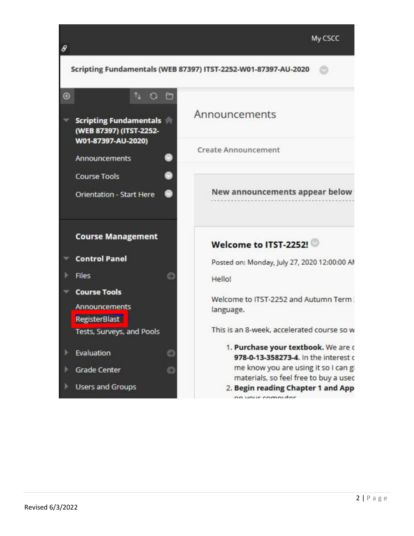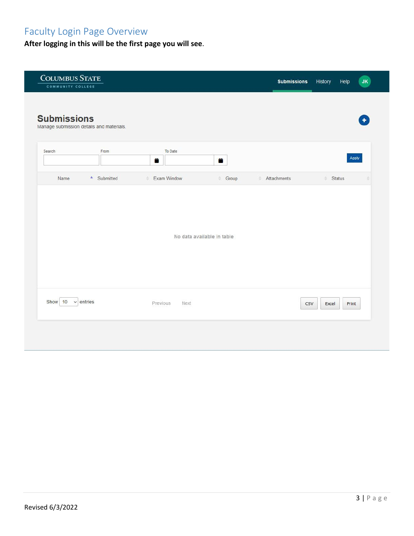# Faculty Login Page Overview

**After logging in this will be the first page you will see**.

| <b>COLUMBUS STATE</b><br>COMMUNITY COLLEGE |                            | History<br>Help<br><b>Submissions</b><br><b>JK</b> |
|--------------------------------------------|----------------------------|----------------------------------------------------|
| <b>Submissions</b>                         |                            |                                                    |
| Manage submission details and materials.   |                            |                                                    |
| Search<br>From                             | To Date<br>ä<br>Ë          | Apply                                              |
| A Submitted<br>Name                        | Exam Window<br>Group<br>÷  | Attachments<br><b>Status</b><br>۰                  |
|                                            | No data available in table |                                                    |
| Show 10<br>$\vee$ entries                  | Previous<br>Next           | CSV<br>Excel<br>Print                              |
|                                            |                            |                                                    |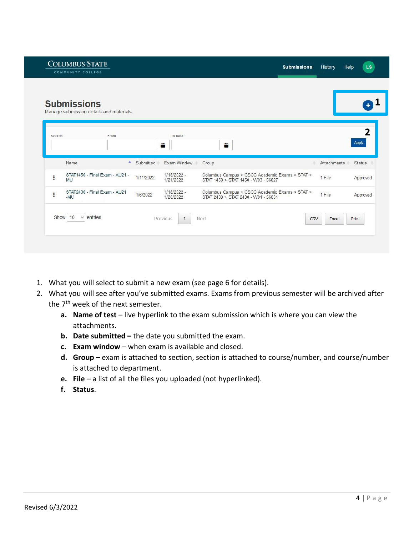|        | <b>Submissions</b><br>Manage submission details and materials. |                            |                                                                                       |                              |
|--------|----------------------------------------------------------------|----------------------------|---------------------------------------------------------------------------------------|------------------------------|
| Search | From                                                           | To Date<br>首               | Ë                                                                                     | 2<br>Apply                   |
|        | $\blacktriangle$<br>Name<br>Submitted                          | Exam Window                | Group                                                                                 | Attachments<br><b>Status</b> |
| ł      | STAT1450 - Final Exam - AU21 -<br>1/11/2022<br>MU              | $1/18/2022 -$<br>1/21/2022 | Columbus Campus > CSCC Academic Exams > STAT ><br>STAT 1450 > STAT 1450 - W03 - 56827 | 1 File<br>Approved           |
| ŧ      | STAT2430 - Final Exam - AU21<br>1/6/2022<br>$-MU$              | 1/18/2022 -<br>1/20/2022   | Columbus Campus > CSCC Academic Exams > STAT ><br>STAT 2430 > STAT 2430 - W01 - 56831 | 1 File<br>Approved           |

- 1. What you will select to submit a new exam (see page 6 for details).
- 2. What you will see after you've submitted exams. Exams from previous semester will be archived after the 7<sup>th</sup> week of the next semester.
	- **a. Name of test** live hyperlink to the exam submission which is where you can view the attachments.
	- **b. Date submitted –** the date you submitted the exam.
	- **c. Exam window** when exam is available and closed.
	- **d. Group** exam is attached to section, section is attached to course/number, and course/number is attached to department.
	- **e. File**  a list of all the files you uploaded (not hyperlinked).
	- **f. Status**.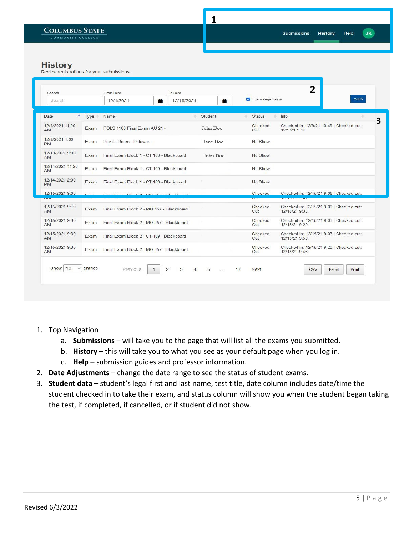$JK$ 

Help

**History** 

| Search<br>Search                |                  | From Date<br>12/1/2021                   | To Date<br>关<br>12/18/2021 |                     | 普              |    | Exam Registration     | 2                                                                             | Apply          |  |
|---------------------------------|------------------|------------------------------------------|----------------------------|---------------------|----------------|----|-----------------------|-------------------------------------------------------------------------------|----------------|--|
| Date                            | $\triangle$ Type | Name                                     |                            |                     | Student        |    | <b>Status</b><br>÷    | Info                                                                          |                |  |
| 12/9/2021 11:00<br>AM           | Exam             | POLS 1100 Final Exam AU 21 -             |                            |                     | John Doe       |    | Checked<br>Out        | Checked-in: 12/9/21 10:49   Checked-out:<br>12/9/21 1:44                      |                |  |
| 12/9/2021 1:00<br><b>PM</b>     | Exam             | Private Room - Delaware                  |                            |                     | Jane Doe       |    | No Show               |                                                                               |                |  |
| 12/13/2021 9:30<br><b>AM</b>    | Exam             | Final Exam Block 1 - CT 109 - Blackboard |                            |                     | John Doe       |    | No Show               |                                                                               |                |  |
| 12/14/2021 11:20<br><b>AM</b>   | Exam             | Final Exam Block 1 - CT 109 - Blackboard |                            |                     |                |    | No Show               |                                                                               |                |  |
| 12/14/2021 2:00<br><b>PM</b>    | Exam             | Final Exam Block 1 - CT 109 - Blackboard |                            |                     |                |    | No Show               |                                                                               |                |  |
| 12/15/2021 9:00<br><b>CALVE</b> |                  |                                          |                            |                     |                |    | Checked<br><b>COL</b> | Checked-in: 12/15/21 9:06   Checked-out:<br><b><i>I CAR IN THE RESIST</i></b> |                |  |
| 12/15/2021 9:10<br><b>AM</b>    | Exam             | Final Exam Block 2 - MO 157 - Blackboard |                            |                     |                |    | Checked<br>Out        | Checked-in: 12/15/21 9:09   Checked-out:<br>12/15/21 9:33                     |                |  |
| 12/15/2021 9:30<br>AM.          | Exam             | Final Exam Block 2 - MO 157 - Blackboard |                            |                     |                |    | Checked<br>Out        | Checked-in: 12/15/21 9:03   Checked-out:<br>12/15/21 9:29                     |                |  |
| 12/15/2021 9:30<br><b>AM</b>    | Exam             | Final Exam Block 2 - CT 109 - Blackboard |                            |                     |                |    | Checked<br>Out        | Checked-in: 12/15/21 9:03   Checked-out:<br>12/15/21 9:53                     |                |  |
| 12/15/2021 9:30<br><b>AM</b>    | Exam             | Final Exam Block 2 - MO 157 - Blackboard |                            |                     |                |    | Checked<br>Out        | Checked-in: 12/15/21 9:20   Checked-out:<br>12/15/21 9:46                     |                |  |
| Show 10<br>$\checkmark$         | entries          | Previous                                 | $\overline{c}$<br>3        | 5<br>$\overline{4}$ | $\sim 10^{-1}$ | 17 | <b>Next</b>           | <b>CSV</b>                                                                    | Excel<br>Print |  |

- 1. Top Navigation
	- a. **Submissions**  will take you to the page that will list all the exams you submitted.
	- b. **History** this will take you to what you see as your default page when you log in.
	- c. **Help**  submission guides and professor information.
- 2. **Date Adjustments**  change the date range to see the status of student exams.
- 3. **Student data**  student's legal first and last name, test title, date column includes date/time the student checked in to take their exam, and status column will show you when the student began taking the test, if completed, if cancelled, or if student did not show.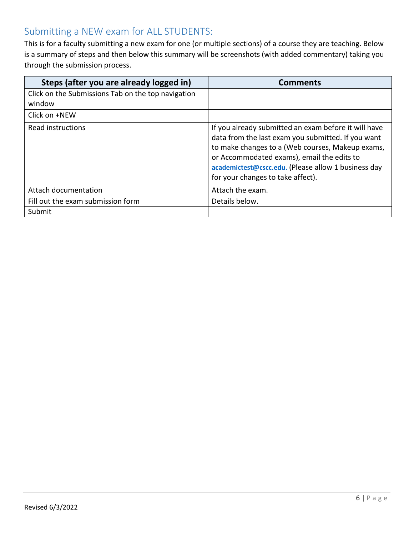# Submitting a NEW exam for ALL STUDENTS:

This is for a faculty submitting a new exam for one (or multiple sections) of a course they are teaching. Below is a summary of steps and then below this summary will be screenshots (with added commentary) taking you through the submission process.

| Steps (after you are already logged in)                      | <b>Comments</b>                                                                                                                                                                                                                                                                                          |
|--------------------------------------------------------------|----------------------------------------------------------------------------------------------------------------------------------------------------------------------------------------------------------------------------------------------------------------------------------------------------------|
| Click on the Submissions Tab on the top navigation<br>window |                                                                                                                                                                                                                                                                                                          |
| Click on +NEW                                                |                                                                                                                                                                                                                                                                                                          |
| Read instructions                                            | If you already submitted an exam before it will have<br>data from the last exam you submitted. If you want<br>to make changes to a (Web courses, Makeup exams,<br>or Accommodated exams), email the edits to<br>academictest@cscc.edu. (Please allow 1 business day<br>for your changes to take affect). |
| Attach documentation                                         | Attach the exam.                                                                                                                                                                                                                                                                                         |
| Fill out the exam submission form                            | Details below.                                                                                                                                                                                                                                                                                           |
| Submit                                                       |                                                                                                                                                                                                                                                                                                          |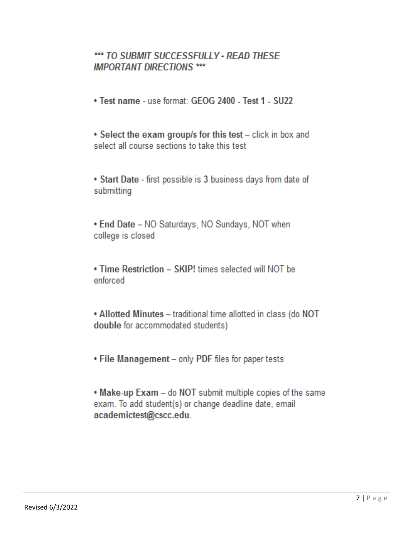## \*\*\* TO SUBMIT SUCCESSFULLY - READ THESE **IMPORTANT DIRECTIONS \*\*\***

- . Test name use format: GEOG 2400 Test 1 SU22
- Select the exam group/s for this test click in box and select all course sections to take this test
- Start Date first possible is 3 business days from date of submitting
- . End Date NO Saturdays, NO Sundays, NOT when college is closed
- Time Restriction SKIP! times selected will NOT be enforced
- . Allotted Minutes traditional time allotted in class (do NOT double for accommodated students)
- . File Management only PDF files for paper tests
- . Make-up Exam do NOT submit multiple copies of the same exam. To add student(s) or change deadline date, email academictest@cscc.edu.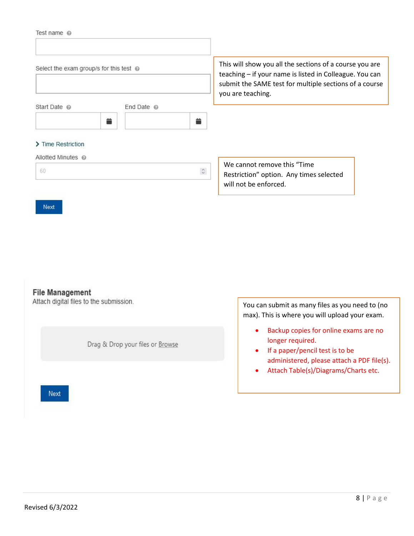|  |  | Test name |  |
|--|--|-----------|--|
|--|--|-----------|--|

| Select the exam group/s for this test $\omega$ |                  |                             | This will show you all the sections of a course you are<br>teaching – if your name is listed in Colleague. You can<br>submit the SAME test for multiple sections of a course<br>you are teaching. |
|------------------------------------------------|------------------|-----------------------------|---------------------------------------------------------------------------------------------------------------------------------------------------------------------------------------------------|
| Start Date @<br>藟                              | End Date $\odot$ | 昔                           |                                                                                                                                                                                                   |
| > Time Restriction                             |                  |                             |                                                                                                                                                                                                   |
| Allotted Minutes @<br>60                       |                  | $\hat{\boldsymbol{\omega}}$ | We cannot remove this "Time"<br>Restriction" option. Any times selected<br>will not be enforced.                                                                                                  |

### **File Management**

Next

Attach digital files to the submission.

Drag & Drop your files or Browse

You can submit as many files as you need to (no max). This is where you will upload your exam.

- Backup copies for online exams are no longer required.
- If a paper/pencil test is to be administered, please attach a PDF file(s).
- Attach Table(s)/Diagrams/Charts etc.

Next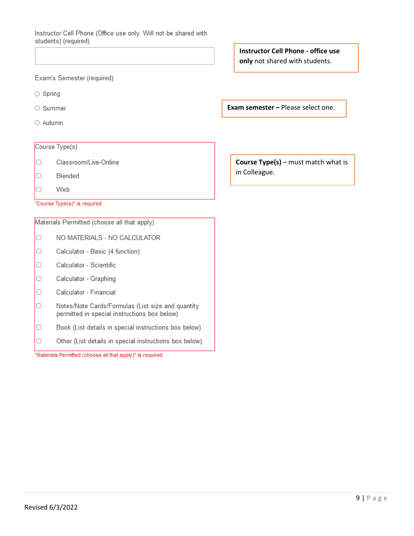Instructor Cell Phone (Office use only. Will not be shared with students) (required)

Exam's Semester (required)

- $\bigcirc$  Spring
- Summer
- O Autumn

#### Course Type(s)

- $\Box$ Classroom/Live-Online
- $\Box$ Blended
- $\Box$ Web

"Course Type(s)" is required

Materials Permitted (choose all that apply)

- NO MATERIALS NO CALCULATOR O
- $\Box$ Calculator - Basic (4 function)
- $\Box$ Calculator - Scientific
- $\Box$ Calculator - Graphing
- $\Box$ Calculator - Financial
- $\Box$ Notes/Note Cards/Formulas (List size and quantity permitted in special instructions box below)
- $\Box$ Book (List details in special instructions box below)
- 0 Other (List details in special instructions box below)

"Materials Permitted (choose all that apply)" is required

**Instructor Cell Phone - office use** only not shared with students.

**Exam semester - Please select one.** 

**Course Type(s)** – must match what is in Colleague.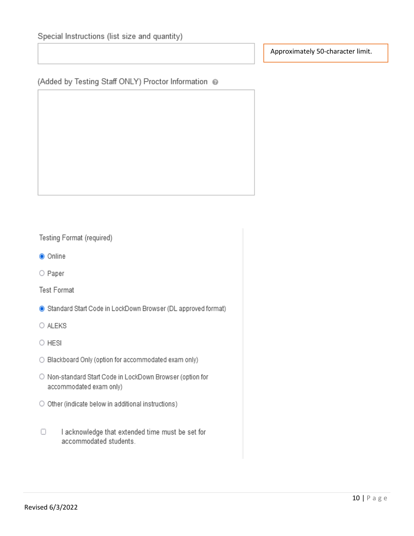Approximately 50-character limit.

(Added by Testing Staff ONLY) Proctor Information @

Testing Format (required)

- Online
- O Paper

**Test Format** 

- Standard Start Code in LockDown Browser (DL approved format)
- O ALEKS

 $\circ$  HESI

- O Blackboard Only (option for accommodated exam only)
- O Non-standard Start Code in LockDown Browser (option for accommodated exam only)
- O Other (indicate below in additional instructions)
- I acknowledge that extended time must be set for  $\Box$ accommodated students.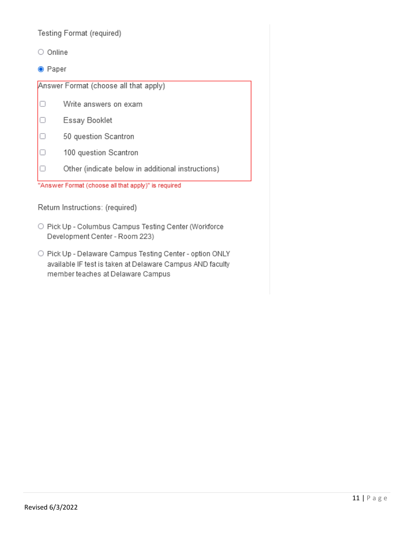Testing Format (required)

- O Online
- Paper

Answer Format (choose all that apply)

- $\Box$ Write answers on exam
- $\Box$ Essay Booklet
- O 50 question Scantron
- 100 question Scantron O
- $\Box$ Other (indicate below in additional instructions)

"Answer Format (choose all that apply)" is required

Return Instructions: (required)

- O Pick Up Columbus Campus Testing Center (Workforce Development Center - Room 223)
- O Pick Up Delaware Campus Testing Center option ONLY available IF test is taken at Delaware Campus AND faculty member teaches at Delaware Campus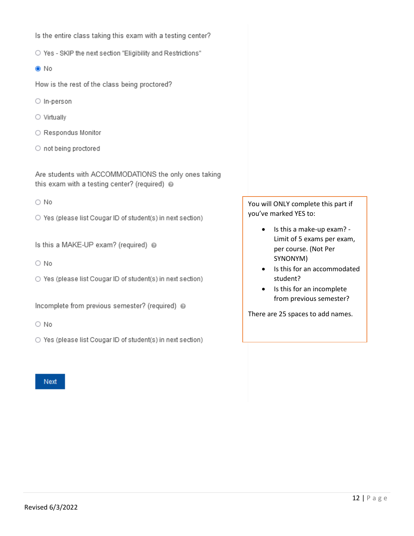Is the entire class taking this exam with a testing center?

O Yes - SKIP the next section "Eligibility and Restrictions"

#### $\odot$  No

How is the rest of the class being proctored?

- O In-person
- $\circ$  Virtually
- Respondus Monitor
- $\circ$  not being proctored

Are students with ACCOMMODATIONS the only ones taking this exam with a testing center? (required) @

 $\bigcirc$  No

- O Yes (please list Cougar ID of student(s) in next section)
- Is this a MAKE-UP exam? (required) @
- $\bigcirc$  No
- Yes (please list Cougar ID of student(s) in next section)

Incomplete from previous semester? (required) @

 $\bigcirc$  No

○ Yes (please list Cougar ID of student(s) in next section)

Next

You will ONLY complete this part if you've marked YES to:

- Is this a make-up exam? Limit of 5 exams per exam, per course. (Not Per SYNONYM)
- Is this for an accommodated student?
- Is this for an incomplete from previous semester?

There are 25 spaces to add names.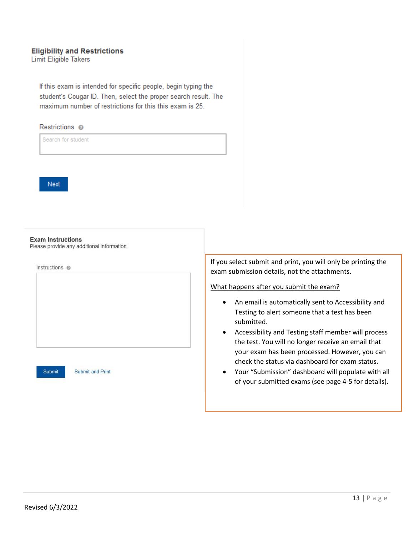## **Eligibility and Restrictions**

**Limit Eligible Takers** 

If this exam is intended for specific people, begin typing the student's Cougar ID. Then, select the proper search result. The maximum number of restrictions for this this exam is 25.

#### Restrictions @

Search for student



#### **Exam Instructions**

Please provide any additional information.

| Instructions @ |  |  |  |
|----------------|--|--|--|
|                |  |  |  |
|                |  |  |  |
|                |  |  |  |
|                |  |  |  |
|                |  |  |  |
|                |  |  |  |
|                |  |  |  |
|                |  |  |  |
|                |  |  |  |
|                |  |  |  |
|                |  |  |  |

**Submit and Print** 

If you select submit and print, you will only be printing the exam submission details, not the attachments.

What happens after you submit the exam?

- An email is automatically sent to Accessibility and Testing to alert someone that a test has been submitted.
- Accessibility and Testing staff member will process the test. You will no longer receive an email that your exam has been processed. However, you can check the status via dashboard for exam status.
- Your "Submission" dashboard will populate with all of your submitted exams (see page 4-5 for details).

Submit